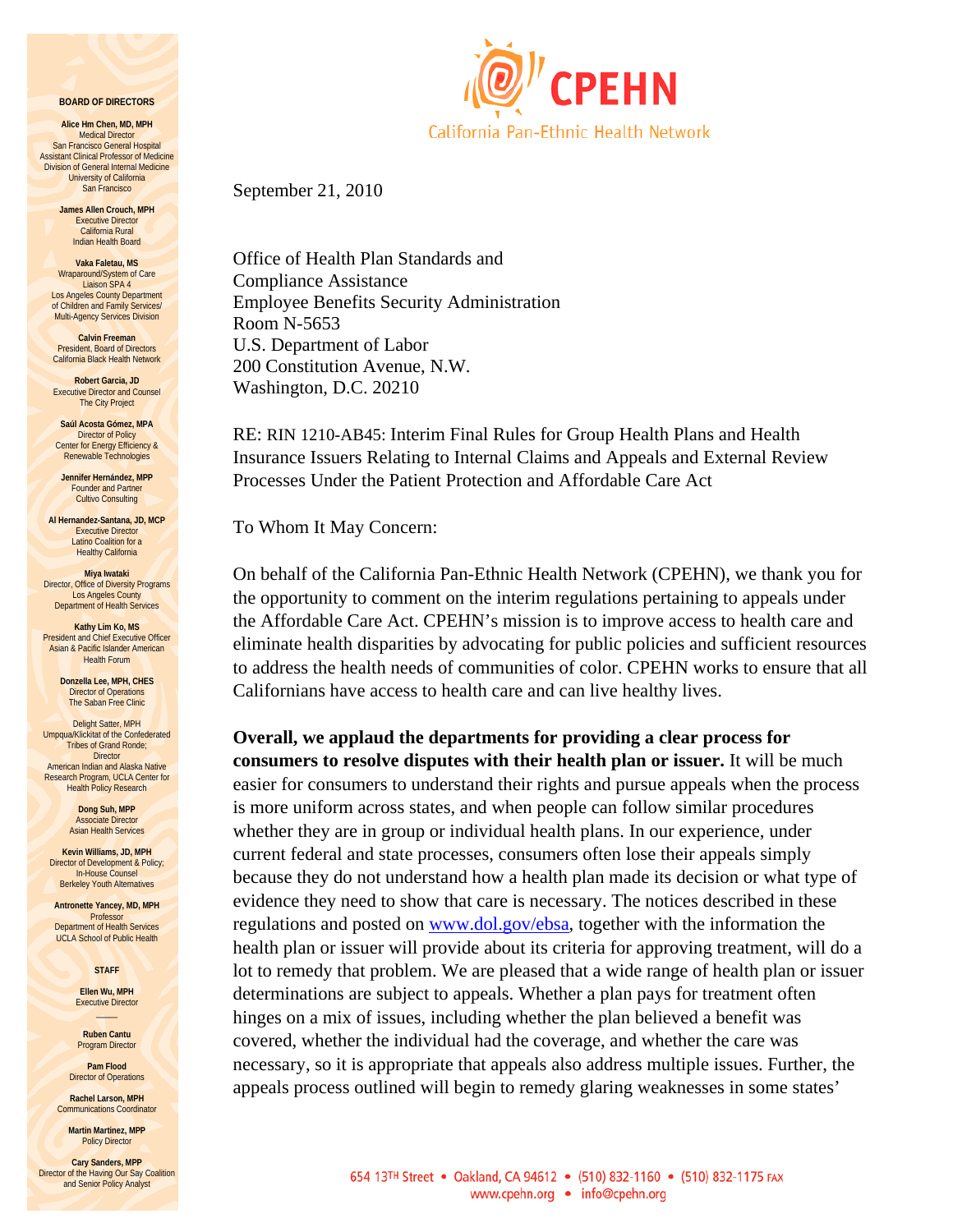#### **BOARD OF DIRECTORS**

**Alice Hm Chen, MD, MPH**  Medical Director San Francisco General Hospital Assistant Clinical Professor of Medicine Division of General Internal Medicine University of California San Francisco

> **James Allen Crouch, MPH** Executive Director California Rural Indian Health Board

**Vaka Faletau, MS**  Wraparound/System of Care Liaison SPA 4 Los Angeles County Department of Children and Family Services/ Multi-Agency Services Division

**Calvin Freeman President, Board of Directors** California Black Health Network

**Robert Garcia, JD**  Executive Director and Counsel The City Project

**Saúl Acosta Gómez, MPA**  Director of Policy Center for Energy Efficiency & Renewable Technologies

**Jennifer Hernández, MPP**  Founder and Partner Cultivo Consulting

**Al Hernandez-Santana, JD, MCP**  Executive Director Latino Coalition for a Healthy California

**Miya Iwataki**  Director, Office of Diversity Programs Los Angeles County Department of Health Services

**Kathy Lim Ko, MS**  President and Chief Executive Officer Asian & Pacific Islander American Health Forum

> **Donzella Lee, MPH, CHES**  Director of Operations The Saban Free Clinic

Delight Satter, MPH Umpqua/Klickitat of the Confederated Tribes of Grand Ronde; **Director** American Indian and Alaska Native Research Program, UCLA Center for

Health Policy Research **Dong Suh, MPP**  Associate Director Asian Health Services

**Kevin Williams, JD, MPH**  Director of Development & Policy; In-House Counsel Berkeley Youth Alternatives

**Antronette Yancey, MD, MPH**  Professor Department of Health Services UCLA School of Public Health

**STAFF** 

**Ellen Wu, MPH**  Executive Director  $\overline{\phantom{a}}$ 

**Ruben Cantu**  Program Director

**Pam Flood**  Director of Operations

**Rachel Larson, MPH**  Communications Coordinator

**Martin Martinez, MPP Policy Director** 

**Cary Sanders, MPP**  Director of the Having Our Say Coalition and Senior Policy Analyst



September 21, 2010

Office of Health Plan Standards and Compliance Assistance Employee Benefits Security Administration Room N-5653 U.S. Department of Labor 200 Constitution Avenue, N.W. Washington, D.C. 20210

RE: RIN 1210-AB45: Interim Final Rules for Group Health Plans and Health Insurance Issuers Relating to Internal Claims and Appeals and External Review Processes Under the Patient Protection and Affordable Care Act

To Whom It May Concern:

On behalf of the California Pan-Ethnic Health Network (CPEHN), we thank you for the opportunity to comment on the interim regulations pertaining to appeals under the Affordable Care Act. CPEHN's mission is to improve access to health care and eliminate health disparities by advocating for public policies and sufficient resources to address the health needs of communities of color. CPEHN works to ensure that all Californians have access to health care and can live healthy lives.

**Overall, we applaud the departments for providing a clear process for consumers to resolve disputes with their health plan or issuer.** It will be much easier for consumers to understand their rights and pursue appeals when the process is more uniform across states, and when people can follow similar procedures whether they are in group or individual health plans. In our experience, under current federal and state processes, consumers often lose their appeals simply because they do not understand how a health plan made its decision or what type of evidence they need to show that care is necessary. The notices described in these regulations and posted on [www.dol.gov/ebsa,](http://www.dol.gov/ebsa) together with the information the health plan or issuer will provide about its criteria for approving treatment, will do a lot to remedy that problem. We are pleased that a wide range of health plan or issuer determinations are subject to appeals. Whether a plan pays for treatment often hinges on a mix of issues, including whether the plan believed a benefit was covered, whether the individual had the coverage, and whether the care was necessary, so it is appropriate that appeals also address multiple issues. Further, the appeals process outlined will begin to remedy glaring weaknesses in some states'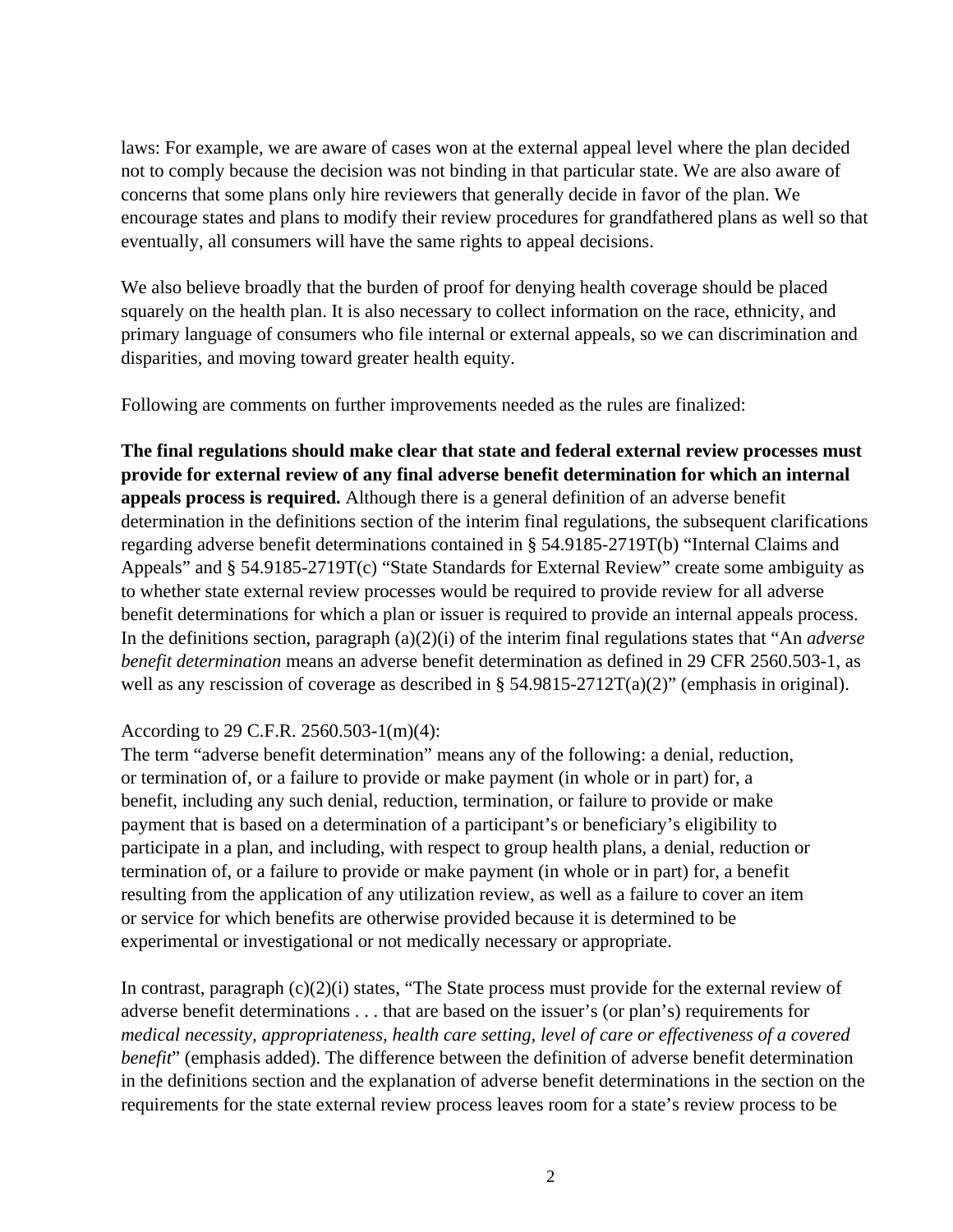laws: For example, we are aware of cases won at the external appeal level where the plan decided not to comply because the decision was not binding in that particular state. We are also aware of concerns that some plans only hire reviewers that generally decide in favor of the plan. We encourage states and plans to modify their review procedures for grandfathered plans as well so that eventually, all consumers will have the same rights to appeal decisions.

We also believe broadly that the burden of proof for denying health coverage should be placed squarely on the health plan. It is also necessary to collect information on the race, ethnicity, and primary language of consumers who file internal or external appeals, so we can discrimination and disparities, and moving toward greater health equity.

Following are comments on further improvements needed as the rules are finalized:

**The final regulations should make clear that state and federal external review processes must provide for external review of any final adverse benefit determination for which an internal appeals process is required.** Although there is a general definition of an adverse benefit determination in the definitions section of the interim final regulations, the subsequent clarifications regarding adverse benefit determinations contained in § 54.9185-2719T(b) "Internal Claims and Appeals" and § 54.9185-2719T(c) "State Standards for External Review" create some ambiguity as to whether state external review processes would be required to provide review for all adverse benefit determinations for which a plan or issuer is required to provide an internal appeals process. In the definitions section, paragraph (a)(2)(i) of the interim final regulations states that "An *adverse benefit determination* means an adverse benefit determination as defined in 29 CFR 2560.503-1, as well as any rescission of coverage as described in § 54.9815-2712T(a)(2)" (emphasis in original).

# According to 29 C.F.R. 2560.503-1(m)(4):

The term "adverse benefit determination" means any of the following: a denial, reduction, or termination of, or a failure to provide or make payment (in whole or in part) for, a benefit, including any such denial, reduction, termination, or failure to provide or make payment that is based on a determination of a participant's or beneficiary's eligibility to participate in a plan, and including, with respect to group health plans, a denial, reduction or termination of, or a failure to provide or make payment (in whole or in part) for, a benefit resulting from the application of any utilization review, as well as a failure to cover an item or service for which benefits are otherwise provided because it is determined to be experimental or investigational or not medically necessary or appropriate.

In contrast, paragraph (c)(2)(i) states, "The State process must provide for the external review of adverse benefit determinations . . . that are based on the issuer's (or plan's) requirements for *medical necessity, appropriateness, health care setting, level of care or effectiveness of a covered benefit*" (emphasis added). The difference between the definition of adverse benefit determination in the definitions section and the explanation of adverse benefit determinations in the section on the requirements for the state external review process leaves room for a state's review process to be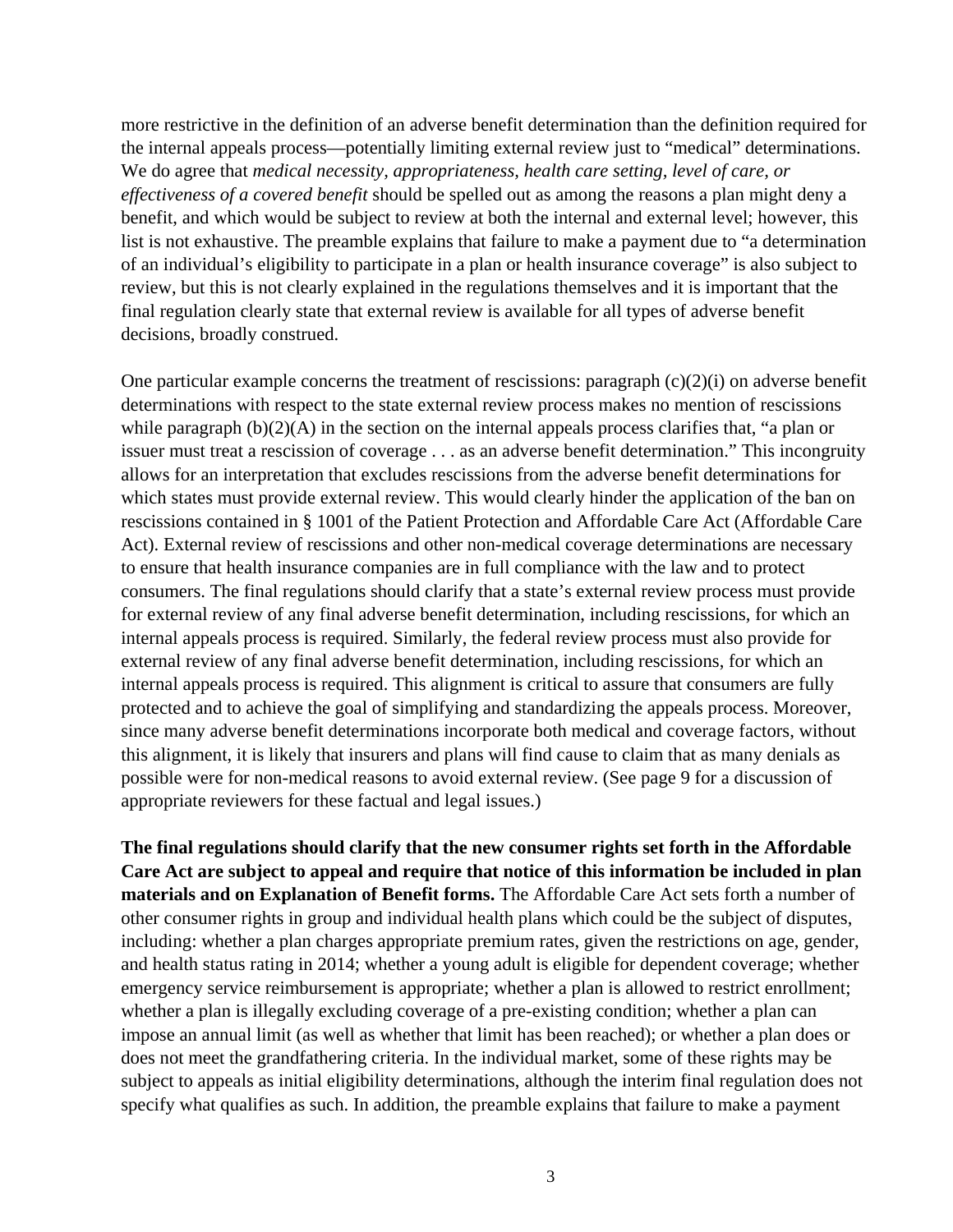more restrictive in the definition of an adverse benefit determination than the definition required for the internal appeals process—potentially limiting external review just to "medical" determinations. We do agree that *medical necessity, appropriateness, health care setting, level of care, or effectiveness of a covered benefit* should be spelled out as among the reasons a plan might deny a benefit, and which would be subject to review at both the internal and external level; however, this list is not exhaustive. The preamble explains that failure to make a payment due to "a determination of an individual's eligibility to participate in a plan or health insurance coverage" is also subject to review, but this is not clearly explained in the regulations themselves and it is important that the final regulation clearly state that external review is available for all types of adverse benefit decisions, broadly construed.

One particular example concerns the treatment of rescissions: paragraph  $(c)(2)(i)$  on adverse benefit determinations with respect to the state external review process makes no mention of rescissions while paragraph (b)(2)(A) in the section on the internal appeals process clarifies that, "a plan or issuer must treat a rescission of coverage . . . as an adverse benefit determination." This incongruity allows for an interpretation that excludes rescissions from the adverse benefit determinations for which states must provide external review. This would clearly hinder the application of the ban on rescissions contained in § 1001 of the Patient Protection and Affordable Care Act (Affordable Care Act). External review of rescissions and other non-medical coverage determinations are necessary to ensure that health insurance companies are in full compliance with the law and to protect consumers. The final regulations should clarify that a state's external review process must provide for external review of any final adverse benefit determination, including rescissions, for which an internal appeals process is required. Similarly, the federal review process must also provide for external review of any final adverse benefit determination, including rescissions, for which an internal appeals process is required. This alignment is critical to assure that consumers are fully protected and to achieve the goal of simplifying and standardizing the appeals process. Moreover, since many adverse benefit determinations incorporate both medical and coverage factors, without this alignment, it is likely that insurers and plans will find cause to claim that as many denials as possible were for non-medical reasons to avoid external review. (See page 9 for a discussion of appropriate reviewers for these factual and legal issues.)

**The final regulations should clarify that the new consumer rights set forth in the Affordable Care Act are subject to appeal and require that notice of this information be included in plan materials and on Explanation of Benefit forms.** The Affordable Care Act sets forth a number of other consumer rights in group and individual health plans which could be the subject of disputes, including: whether a plan charges appropriate premium rates, given the restrictions on age, gender, and health status rating in 2014; whether a young adult is eligible for dependent coverage; whether emergency service reimbursement is appropriate; whether a plan is allowed to restrict enrollment; whether a plan is illegally excluding coverage of a pre-existing condition; whether a plan can impose an annual limit (as well as whether that limit has been reached); or whether a plan does or does not meet the grandfathering criteria. In the individual market, some of these rights may be subject to appeals as initial eligibility determinations, although the interim final regulation does not specify what qualifies as such. In addition, the preamble explains that failure to make a payment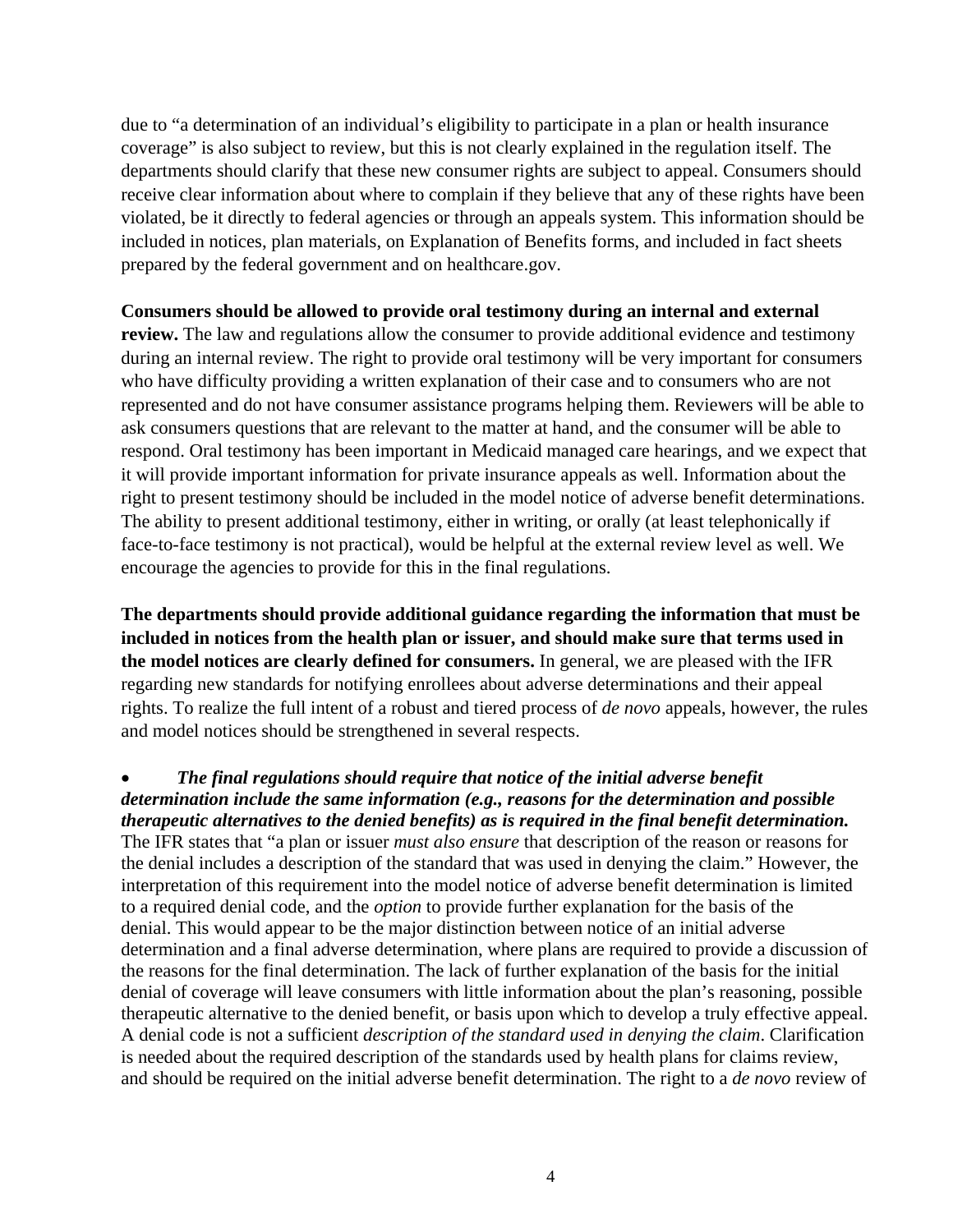due to "a determination of an individual's eligibility to participate in a plan or health insurance coverage" is also subject to review, but this is not clearly explained in the regulation itself. The departments should clarify that these new consumer rights are subject to appeal. Consumers should receive clear information about where to complain if they believe that any of these rights have been violated, be it directly to federal agencies or through an appeals system. This information should be included in notices, plan materials, on Explanation of Benefits forms, and included in fact sheets prepared by the federal government and on healthcare.gov.

### **Consumers should be allowed to provide oral testimony during an internal and external**

**review.** The law and regulations allow the consumer to provide additional evidence and testimony during an internal review. The right to provide oral testimony will be very important for consumers who have difficulty providing a written explanation of their case and to consumers who are not represented and do not have consumer assistance programs helping them. Reviewers will be able to ask consumers questions that are relevant to the matter at hand, and the consumer will be able to respond. Oral testimony has been important in Medicaid managed care hearings, and we expect that it will provide important information for private insurance appeals as well. Information about the right to present testimony should be included in the model notice of adverse benefit determinations. The ability to present additional testimony, either in writing, or orally (at least telephonically if face-to-face testimony is not practical), would be helpful at the external review level as well. We encourage the agencies to provide for this in the final regulations.

**The departments should provide additional guidance regarding the information that must be included in notices from the health plan or issuer, and should make sure that terms used in the model notices are clearly defined for consumers.** In general, we are pleased with the IFR regarding new standards for notifying enrollees about adverse determinations and their appeal rights. To realize the full intent of a robust and tiered process of *de novo* appeals, however, the rules and model notices should be strengthened in several respects.

 *The final regulations should require that notice of the initial adverse benefit determination include the same information (e.g., reasons for the determination and possible therapeutic alternatives to the denied benefits) as is required in the final benefit determination.* The IFR states that "a plan or issuer *must also ensure* that description of the reason or reasons for the denial includes a description of the standard that was used in denying the claim." However, the interpretation of this requirement into the model notice of adverse benefit determination is limited to a required denial code, and the *option* to provide further explanation for the basis of the denial. This would appear to be the major distinction between notice of an initial adverse determination and a final adverse determination, where plans are required to provide a discussion of the reasons for the final determination. The lack of further explanation of the basis for the initial denial of coverage will leave consumers with little information about the plan's reasoning, possible therapeutic alternative to the denied benefit, or basis upon which to develop a truly effective appeal. A denial code is not a sufficient *description of the standard used in denying the claim*. Clarification is needed about the required description of the standards used by health plans for claims review, and should be required on the initial adverse benefit determination. The right to a *de novo* review of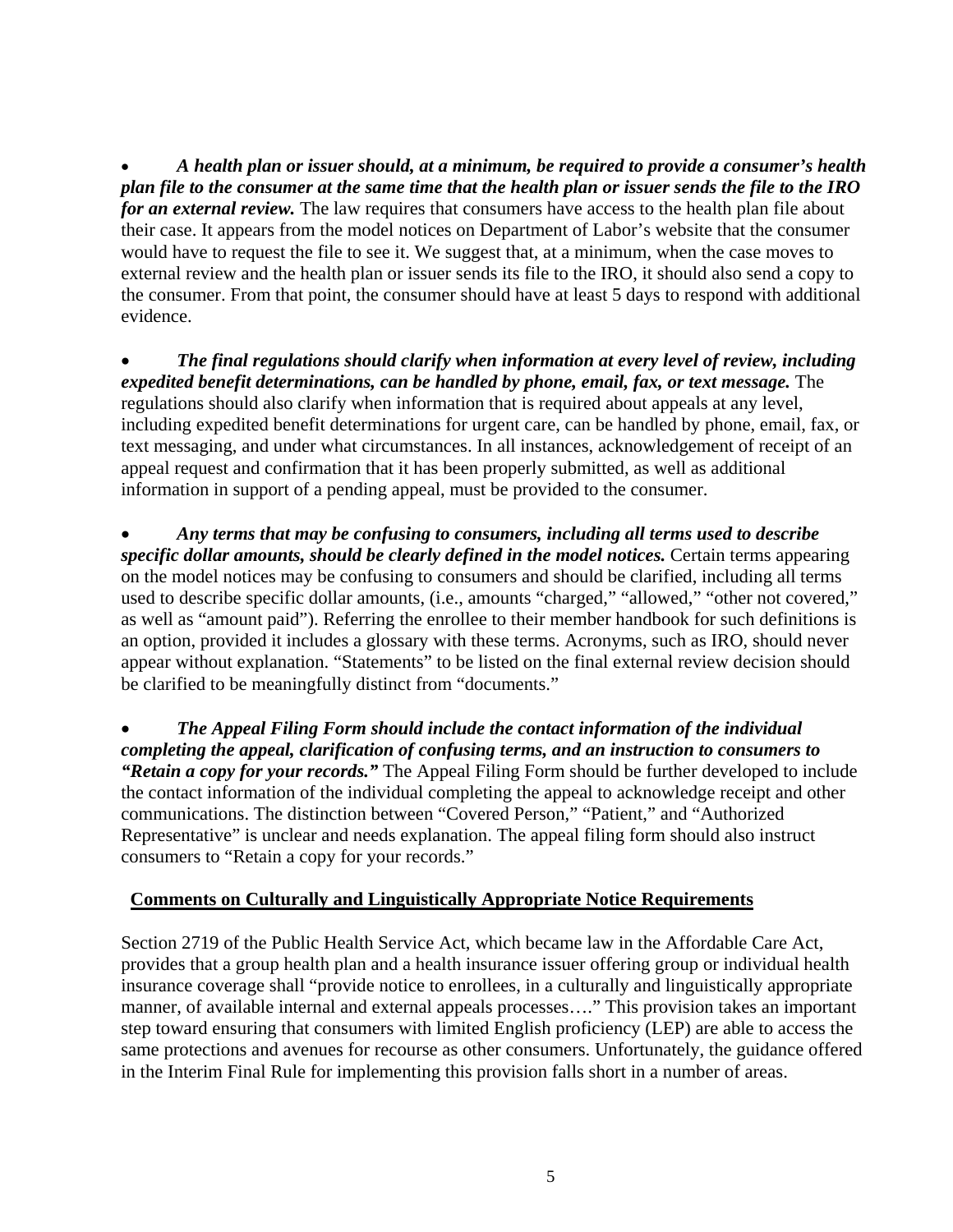*A health plan or issuer should, at a minimum, be required to provide a consumer's health plan file to the consumer at the same time that the health plan or issuer sends the file to the IRO for an external review.* The law requires that consumers have access to the health plan file about their case. It appears from the model notices on Department of Labor's website that the consumer would have to request the file to see it. We suggest that, at a minimum, when the case moves to external review and the health plan or issuer sends its file to the IRO, it should also send a copy to the consumer. From that point, the consumer should have at least 5 days to respond with additional evidence.

 *The final regulations should clarify when information at every level of review, including expedited benefit determinations, can be handled by phone, email, fax, or text message.* The regulations should also clarify when information that is required about appeals at any level, including expedited benefit determinations for urgent care, can be handled by phone, email, fax, or text messaging, and under what circumstances. In all instances, acknowledgement of receipt of an appeal request and confirmation that it has been properly submitted, as well as additional information in support of a pending appeal, must be provided to the consumer.

 *Any terms that may be confusing to consumers, including all terms used to describe specific dollar amounts, should be clearly defined in the model notices.* Certain terms appearing on the model notices may be confusing to consumers and should be clarified, including all terms used to describe specific dollar amounts, (i.e., amounts "charged," "allowed," "other not covered," as well as "amount paid"). Referring the enrollee to their member handbook for such definitions is an option, provided it includes a glossary with these terms. Acronyms, such as IRO, should never appear without explanation. "Statements" to be listed on the final external review decision should be clarified to be meaningfully distinct from "documents."

 *The Appeal Filing Form should include the contact information of the individual completing the appeal, clarification of confusing terms, and an instruction to consumers to "Retain a copy for your records."* The Appeal Filing Form should be further developed to include the contact information of the individual completing the appeal to acknowledge receipt and other communications. The distinction between "Covered Person," "Patient," and "Authorized Representative" is unclear and needs explanation. The appeal filing form should also instruct consumers to "Retain a copy for your records."

# **Comments on Culturally and Linguistically Appropriate Notice Requirements**

Section 2719 of the Public Health Service Act, which became law in the Affordable Care Act, provides that a group health plan and a health insurance issuer offering group or individual health insurance coverage shall "provide notice to enrollees, in a culturally and linguistically appropriate manner, of available internal and external appeals processes…." This provision takes an important step toward ensuring that consumers with limited English proficiency (LEP) are able to access the same protections and avenues for recourse as other consumers. Unfortunately, the guidance offered in the Interim Final Rule for implementing this provision falls short in a number of areas.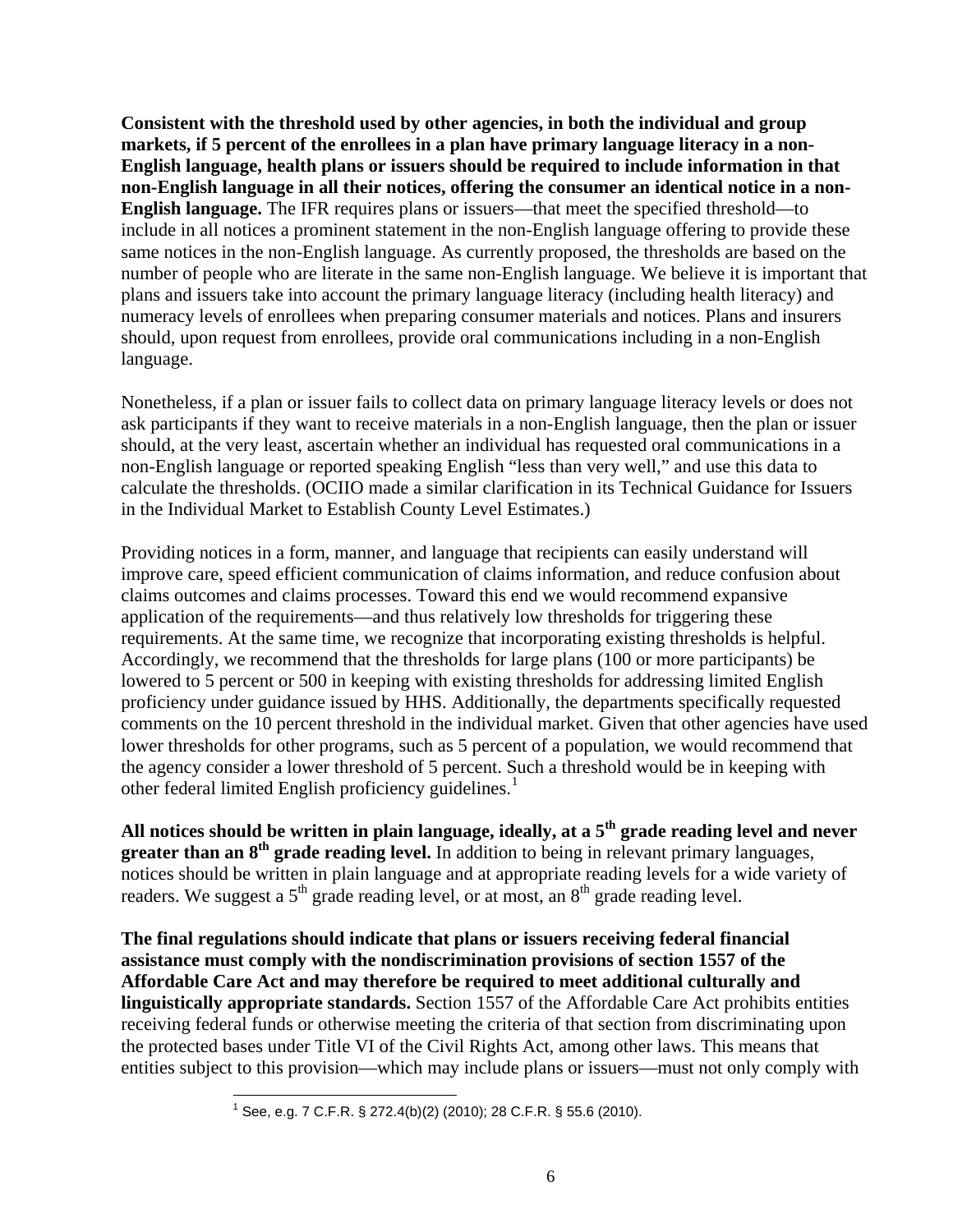**Consistent with the threshold used by other agencies, in both the individual and group markets, if 5 percent of the enrollees in a plan have primary language literacy in a non-English language, health plans or issuers should be required to include information in that non-English language in all their notices, offering the consumer an identical notice in a non-English language.** The IFR requires plans or issuers—that meet the specified threshold—to include in all notices a prominent statement in the non-English language offering to provide these same notices in the non-English language. As currently proposed, the thresholds are based on the number of people who are literate in the same non-English language. We believe it is important that plans and issuers take into account the primary language literacy (including health literacy) and numeracy levels of enrollees when preparing consumer materials and notices. Plans and insurers should, upon request from enrollees, provide oral communications including in a non-English language.

Nonetheless, if a plan or issuer fails to collect data on primary language literacy levels or does not ask participants if they want to receive materials in a non-English language, then the plan or issuer should, at the very least, ascertain whether an individual has requested oral communications in a non-English language or reported speaking English "less than very well," and use this data to calculate the thresholds. (OCIIO made a similar clarification in its Technical Guidance for Issuers in the Individual Market to Establish County Level Estimates.)

Providing notices in a form, manner, and language that recipients can easily understand will improve care, speed efficient communication of claims information, and reduce confusion about claims outcomes and claims processes. Toward this end we would recommend expansive application of the requirements—and thus relatively low thresholds for triggering these requirements. At the same time, we recognize that incorporating existing thresholds is helpful. Accordingly, we recommend that the thresholds for large plans (100 or more participants) be lowered to 5 percent or 500 in keeping with existing thresholds for addressing limited English proficiency under guidance issued by HHS. Additionally, the departments specifically requested comments on the 10 percent threshold in the individual market. Given that other agencies have used lower thresholds for other programs, such as 5 percent of a population, we would recommend that the agency consider a lower threshold of 5 percent. Such a threshold would be in keeping with other federal limited English proficiency guidelines.<sup>[1](#page-5-0)</sup>

**All notices should be written in plain language, ideally, at a 5th grade reading level and never greater than an 8th grade reading level.** In addition to being in relevant primary languages, notices should be written in plain language and at appropriate reading levels for a wide variety of readers. We suggest a  $5<sup>th</sup>$  grade reading level, or at most, an  $8<sup>th</sup>$  grade reading level.

<span id="page-5-0"></span>**The final regulations should indicate that plans or issuers receiving federal financial assistance must comply with the nondiscrimination provisions of section 1557 of the Affordable Care Act and may therefore be required to meet additional culturally and linguistically appropriate standards.** Section 1557 of the Affordable Care Act prohibits entities receiving federal funds or otherwise meeting the criteria of that section from discriminating upon the protected bases under Title VI of the Civil Rights Act, among other laws. This means that entities subject to this provision—which may include plans or issuers—must not only comply with

l <sup>1</sup> See, e.g. 7 C.F.R. § 272.4(b)(2) (2010); 28 C.F.R. § 55.6 (2010).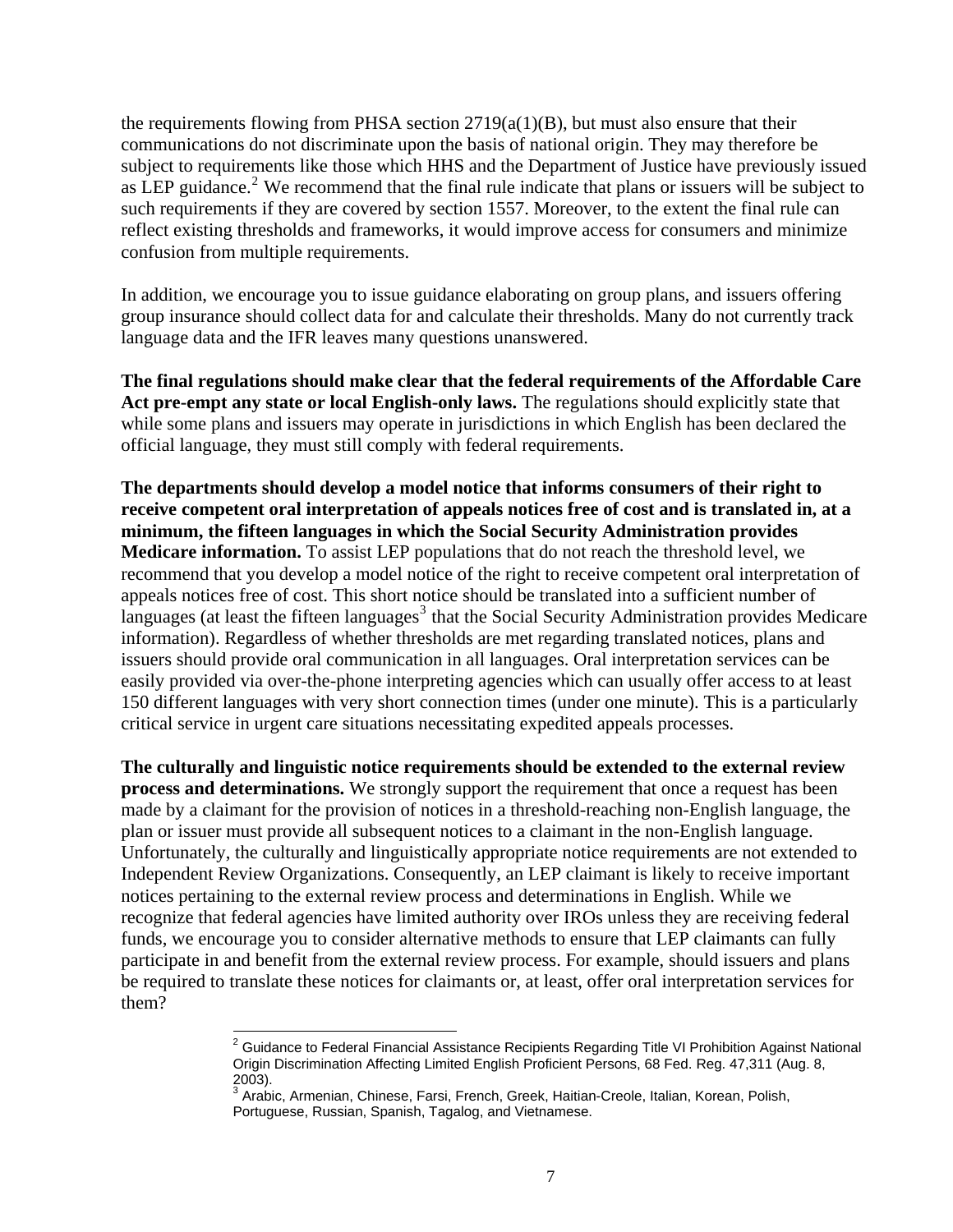the requirements flowing from PHSA section  $2719(a(1)(B)$ , but must also ensure that their communications do not discriminate upon the basis of national origin. They may therefore be subject to requirements like those which HHS and the Department of Justice have previously issued as LEP guidance.<sup>[2](#page-6-0)</sup> We recommend that the final rule indicate that plans or issuers will be subject to such requirements if they are covered by section 1557. Moreover, to the extent the final rule can reflect existing thresholds and frameworks, it would improve access for consumers and minimize confusion from multiple requirements.

In addition, we encourage you to issue guidance elaborating on group plans, and issuers offering group insurance should collect data for and calculate their thresholds. Many do not currently track language data and the IFR leaves many questions unanswered.

**The final regulations should make clear that the federal requirements of the Affordable Care Act pre-empt any state or local English-only laws.** The regulations should explicitly state that while some plans and issuers may operate in jurisdictions in which English has been declared the official language, they must still comply with federal requirements.

**The departments should develop a model notice that informs consumers of their right to receive competent oral interpretation of appeals notices free of cost and is translated in, at a minimum, the fifteen languages in which the Social Security Administration provides Medicare information.** To assist LEP populations that do not reach the threshold level, we recommend that you develop a model notice of the right to receive competent oral interpretation of appeals notices free of cost. This short notice should be translated into a sufficient number of languages (at least the fifteen languages<sup>[3](#page-6-1)</sup> that the Social Security Administration provides Medicare information). Regardless of whether thresholds are met regarding translated notices, plans and issuers should provide oral communication in all languages. Oral interpretation services can be easily provided via over-the-phone interpreting agencies which can usually offer access to at least 150 different languages with very short connection times (under one minute). This is a particularly critical service in urgent care situations necessitating expedited appeals processes.

**The culturally and linguistic notice requirements should be extended to the external review process and determinations.** We strongly support the requirement that once a request has been made by a claimant for the provision of notices in a threshold-reaching non-English language, the plan or issuer must provide all subsequent notices to a claimant in the non-English language. Unfortunately, the culturally and linguistically appropriate notice requirements are not extended to Independent Review Organizations. Consequently, an LEP claimant is likely to receive important notices pertaining to the external review process and determinations in English. While we recognize that federal agencies have limited authority over IROs unless they are receiving federal funds, we encourage you to consider alternative methods to ensure that LEP claimants can fully participate in and benefit from the external review process. For example, should issuers and plans be required to translate these notices for claimants or, at least, offer oral interpretation services for them?

l

<span id="page-6-0"></span><sup>&</sup>lt;sup>2</sup> Guidance to Federal Financial Assistance Recipients Regarding Title VI Prohibition Against National Origin Discrimination Affecting Limited English Proficient Persons, 68 Fed. Reg. 47,311 (Aug. 8, 2003).

<span id="page-6-1"></span><sup>&</sup>lt;sup>3</sup> Arabic, Armenian, Chinese, Farsi, French, Greek, Haitian-Creole, Italian, Korean, Polish, Portuguese, Russian, Spanish, Tagalog, and Vietnamese.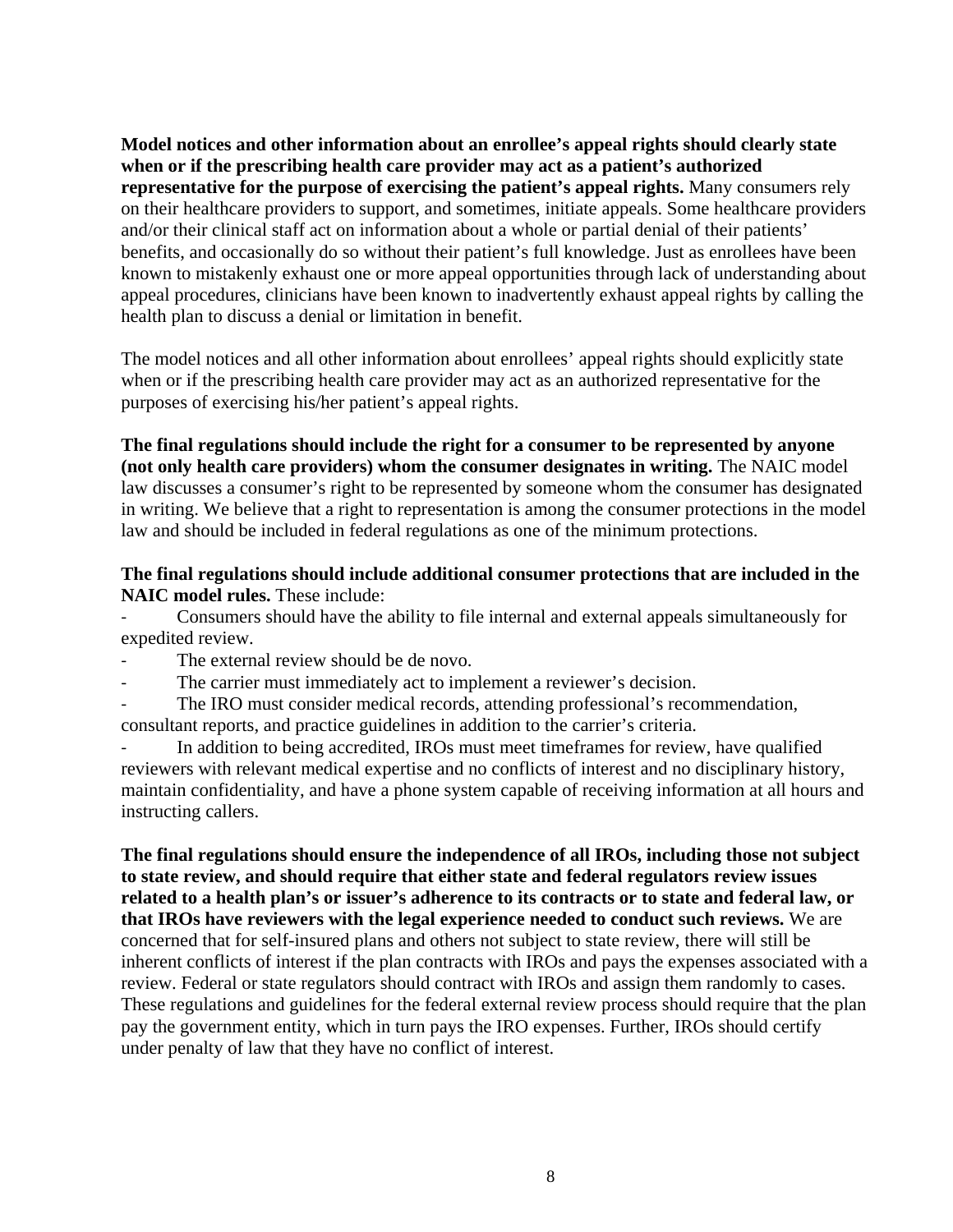**Model notices and other information about an enrollee's appeal rights should clearly state when or if the prescribing health care provider may act as a patient's authorized representative for the purpose of exercising the patient's appeal rights.** Many consumers rely on their healthcare providers to support, and sometimes, initiate appeals. Some healthcare providers and/or their clinical staff act on information about a whole or partial denial of their patients' benefits, and occasionally do so without their patient's full knowledge. Just as enrollees have been known to mistakenly exhaust one or more appeal opportunities through lack of understanding about appeal procedures, clinicians have been known to inadvertently exhaust appeal rights by calling the health plan to discuss a denial or limitation in benefit.

The model notices and all other information about enrollees' appeal rights should explicitly state when or if the prescribing health care provider may act as an authorized representative for the purposes of exercising his/her patient's appeal rights.

**The final regulations should include the right for a consumer to be represented by anyone (not only health care providers) whom the consumer designates in writing.** The NAIC model law discusses a consumer's right to be represented by someone whom the consumer has designated in writing. We believe that a right to representation is among the consumer protections in the model law and should be included in federal regulations as one of the minimum protections.

## **The final regulations should include additional consumer protections that are included in the NAIC model rules.** These include:

‐ Consumers should have the ability to file internal and external appeals simultaneously for expedited review.

- The external review should be de novo.
- The carrier must immediately act to implement a reviewer's decision.

‐ The IRO must consider medical records, attending professional's recommendation, consultant reports, and practice guidelines in addition to the carrier's criteria.

In addition to being accredited, IROs must meet timeframes for review, have qualified reviewers with relevant medical expertise and no conflicts of interest and no disciplinary history, maintain confidentiality, and have a phone system capable of receiving information at all hours and instructing callers.

**The final regulations should ensure the independence of all IROs, including those not subject to state review, and should require that either state and federal regulators review issues related to a health plan's or issuer's adherence to its contracts or to state and federal law, or that IROs have reviewers with the legal experience needed to conduct such reviews.** We are concerned that for self-insured plans and others not subject to state review, there will still be inherent conflicts of interest if the plan contracts with IROs and pays the expenses associated with a review. Federal or state regulators should contract with IROs and assign them randomly to cases. These regulations and guidelines for the federal external review process should require that the plan pay the government entity, which in turn pays the IRO expenses. Further, IROs should certify under penalty of law that they have no conflict of interest.